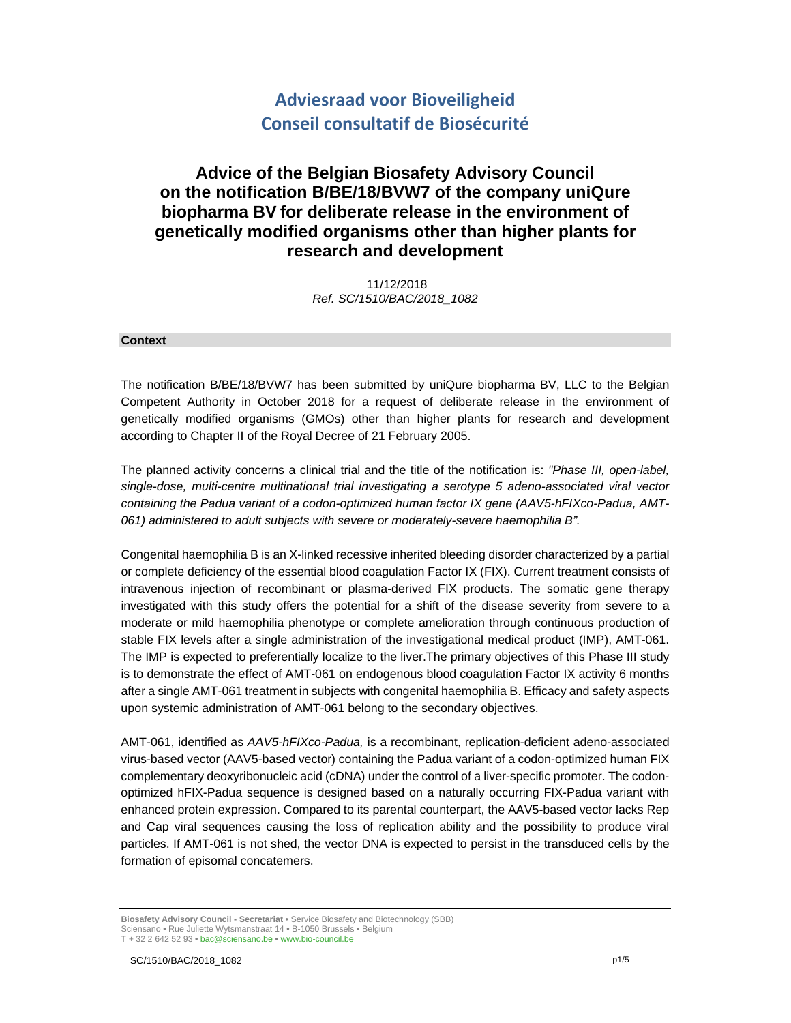# **Adviesraad voor Bioveiligheid Conseil consultatif de Biosécurité**

# **Advice of the Belgian Biosafety Advisory Council on the notification B/BE/18/BVW7 of the company uniQure biopharma BV for deliberate release in the environment of genetically modified organisms other than higher plants for research and development**

 11/12/2018 *Ref. SC/1510/BAC/2018\_1082* 

## **Context**

The notification B/BE/18/BVW7 has been submitted by uniQure biopharma BV, LLC to the Belgian Competent Authority in October 2018 for a request of deliberate release in the environment of genetically modified organisms (GMOs) other than higher plants for research and development according to Chapter II of the Royal Decree of 21 February 2005.

The planned activity concerns a clinical trial and the title of the notification is: *"Phase III, open-label, single-dose, multi-centre multinational trial investigating a serotype 5 adeno-associated viral vector containing the Padua variant of a codon-optimized human factor IX gene (AAV5-hFIXco-Padua, AMT-061) administered to adult subjects with severe or moderately-severe haemophilia B".*

Congenital haemophilia B is an X-linked recessive inherited bleeding disorder characterized by a partial or complete deficiency of the essential blood coagulation Factor IX (FIX). Current treatment consists of intravenous injection of recombinant or plasma-derived FIX products. The somatic gene therapy investigated with this study offers the potential for a shift of the disease severity from severe to a moderate or mild haemophilia phenotype or complete amelioration through continuous production of stable FIX levels after a single administration of the investigational medical product (IMP), AMT-061. The IMP is expected to preferentially localize to the liver.The primary objectives of this Phase III study is to demonstrate the effect of AMT-061 on endogenous blood coagulation Factor IX activity 6 months after a single AMT-061 treatment in subjects with congenital haemophilia B. Efficacy and safety aspects upon systemic administration of AMT-061 belong to the secondary objectives.

AMT-061, identified as *AAV5-hFIXco-Padua,* is a recombinant, replication-deficient adeno-associated virus-based vector (AAV5-based vector) containing the Padua variant of a codon-optimized human FIX complementary deoxyribonucleic acid (cDNA) under the control of a liver-specific promoter. The codonoptimized hFIX-Padua sequence is designed based on a naturally occurring FIX-Padua variant with enhanced protein expression. Compared to its parental counterpart, the AAV5-based vector lacks Rep and Cap viral sequences causing the loss of replication ability and the possibility to produce viral particles. If AMT-061 is not shed, the vector DNA is expected to persist in the transduced cells by the formation of episomal concatemers.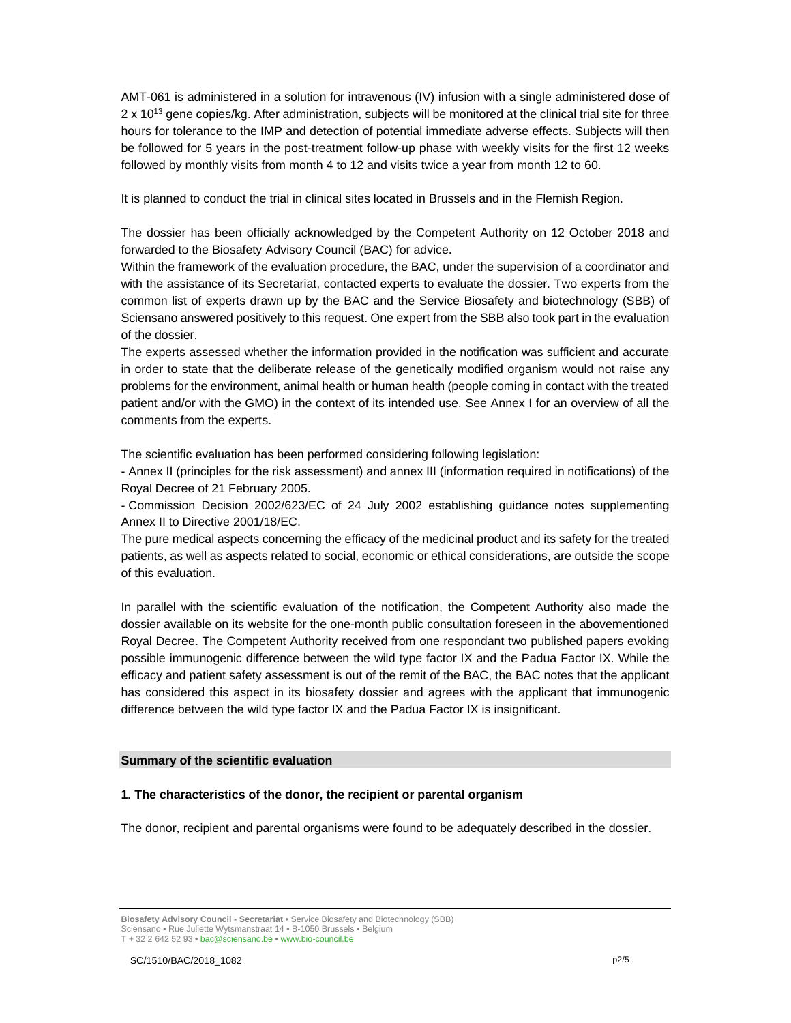AMT-061 is administered in a solution for intravenous (IV) infusion with a single administered dose of 2 x 10<sup>13</sup> gene copies/kg. After administration, subjects will be monitored at the clinical trial site for three hours for tolerance to the IMP and detection of potential immediate adverse effects. Subjects will then be followed for 5 years in the post-treatment follow-up phase with weekly visits for the first 12 weeks followed by monthly visits from month 4 to 12 and visits twice a year from month 12 to 60.

It is planned to conduct the trial in clinical sites located in Brussels and in the Flemish Region.

The dossier has been officially acknowledged by the Competent Authority on 12 October 2018 and forwarded to the Biosafety Advisory Council (BAC) for advice.

Within the framework of the evaluation procedure, the BAC, under the supervision of a coordinator and with the assistance of its Secretariat, contacted experts to evaluate the dossier. Two experts from the common list of experts drawn up by the BAC and the Service Biosafety and biotechnology (SBB) of Sciensano answered positively to this request. One expert from the SBB also took part in the evaluation of the dossier.

The experts assessed whether the information provided in the notification was sufficient and accurate in order to state that the deliberate release of the genetically modified organism would not raise any problems for the environment, animal health or human health (people coming in contact with the treated patient and/or with the GMO) in the context of its intended use. See Annex I for an overview of all the comments from the experts.

The scientific evaluation has been performed considering following legislation:

- Annex II (principles for the risk assessment) and annex III (information required in notifications) of the Royal Decree of 21 February 2005.

- Commission Decision 2002/623/EC of 24 July 2002 establishing guidance notes supplementing Annex II to Directive 2001/18/EC.

The pure medical aspects concerning the efficacy of the medicinal product and its safety for the treated patients, as well as aspects related to social, economic or ethical considerations, are outside the scope of this evaluation.

In parallel with the scientific evaluation of the notification, the Competent Authority also made the dossier available on its website for the one-month public consultation foreseen in the abovementioned Royal Decree. The Competent Authority received from one respondant two published papers evoking possible immunogenic difference between the wild type factor IX and the Padua Factor IX. While the efficacy and patient safety assessment is out of the remit of the BAC, the BAC notes that the applicant has considered this aspect in its biosafety dossier and agrees with the applicant that immunogenic difference between the wild type factor IX and the Padua Factor IX is insignificant.

## **Summary of the scientific evaluation**

#### **1. The characteristics of the donor, the recipient or parental organism**

The donor, recipient and parental organisms were found to be adequately described in the dossier.

**Biosafety Advisory Council - Secretariat •** Service Biosafety and Biotechnology (SBB) Sciensano **•** Rue Juliette Wytsmanstraat 14 **•** B-1050 Brussels **•** Belgium T + 32 2 642 52 93 **•** bac@sciensano.be **•** www.bio-council.be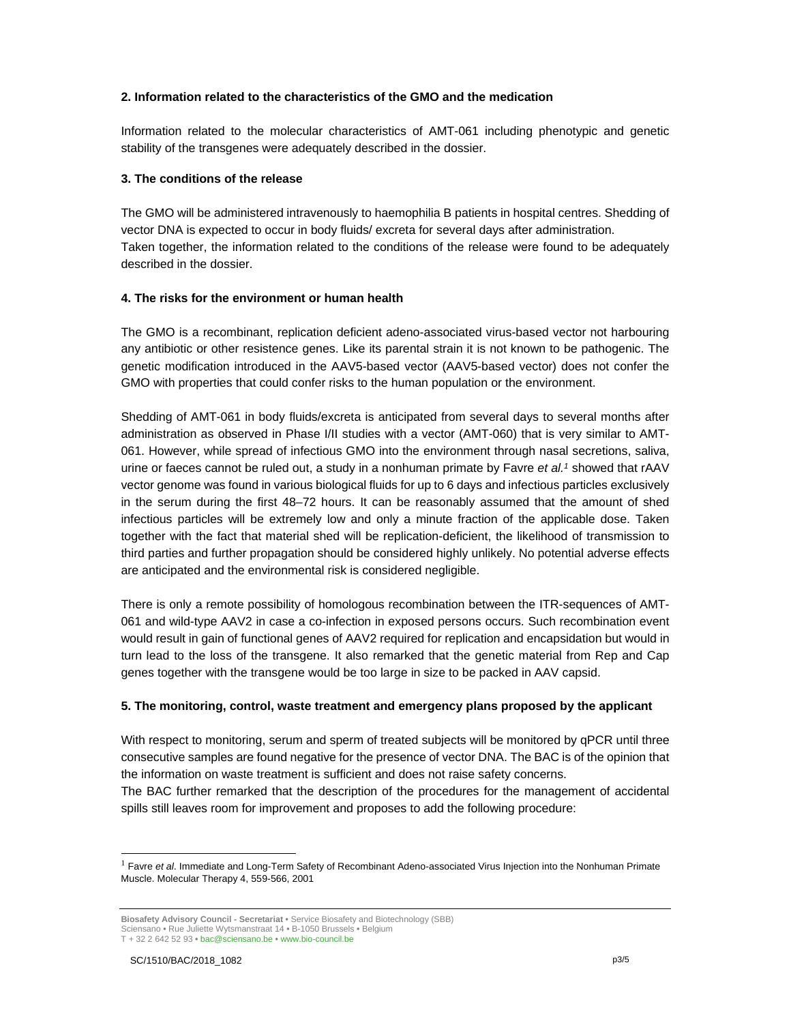## **2. Information related to the characteristics of the GMO and the medication**

Information related to the molecular characteristics of AMT-061 including phenotypic and genetic stability of the transgenes were adequately described in the dossier.

## **3. The conditions of the release**

The GMO will be administered intravenously to haemophilia B patients in hospital centres. Shedding of vector DNA is expected to occur in body fluids/ excreta for several days after administration. Taken together, the information related to the conditions of the release were found to be adequately described in the dossier.

## **4. The risks for the environment or human health**

The GMO is a recombinant, replication deficient adeno-associated virus-based vector not harbouring any antibiotic or other resistence genes. Like its parental strain it is not known to be pathogenic. The genetic modification introduced in the AAV5-based vector (AAV5-based vector) does not confer the GMO with properties that could confer risks to the human population or the environment.

Shedding of AMT-061 in body fluids/excreta is anticipated from several days to several months after administration as observed in Phase I/II studies with a vector (AMT-060) that is very similar to AMT-061. However, while spread of infectious GMO into the environment through nasal secretions, saliva, urine or faeces cannot be ruled out, a study in a nonhuman primate by Favre *et al.1* showed that rAAV vector genome was found in various biological fluids for up to 6 days and infectious particles exclusively in the serum during the first 48–72 hours. It can be reasonably assumed that the amount of shed infectious particles will be extremely low and only a minute fraction of the applicable dose. Taken together with the fact that material shed will be replication-deficient, the likelihood of transmission to third parties and further propagation should be considered highly unlikely. No potential adverse effects are anticipated and the environmental risk is considered negligible.

There is only a remote possibility of homologous recombination between the ITR-sequences of AMT-061 and wild-type AAV2 in case a co-infection in exposed persons occurs. Such recombination event would result in gain of functional genes of AAV2 required for replication and encapsidation but would in turn lead to the loss of the transgene. It also remarked that the genetic material from Rep and Cap genes together with the transgene would be too large in size to be packed in AAV capsid.

## **5. The monitoring, control, waste treatment and emergency plans proposed by the applicant**

With respect to monitoring, serum and sperm of treated subjects will be monitored by qPCR until three consecutive samples are found negative for the presence of vector DNA. The BAC is of the opinion that the information on waste treatment is sufficient and does not raise safety concerns.

The BAC further remarked that the description of the procedures for the management of accidental spills still leaves room for improvement and proposes to add the following procedure:

-

<sup>1</sup> Favre *et al*. Immediate and Long-Term Safety of Recombinant Adeno-associated Virus Injection into the Nonhuman Primate Muscle. Molecular Therapy 4, 559-566, 2001

**Biosafety Advisory Council - Secretariat •** Service Biosafety and Biotechnology (SBB) Sciensano **•** Rue Juliette Wytsmanstraat 14 **•** B-1050 Brussels **•** Belgium T + 32 2 642 52 93 **•** bac@sciensano.be **•** www.bio-council.be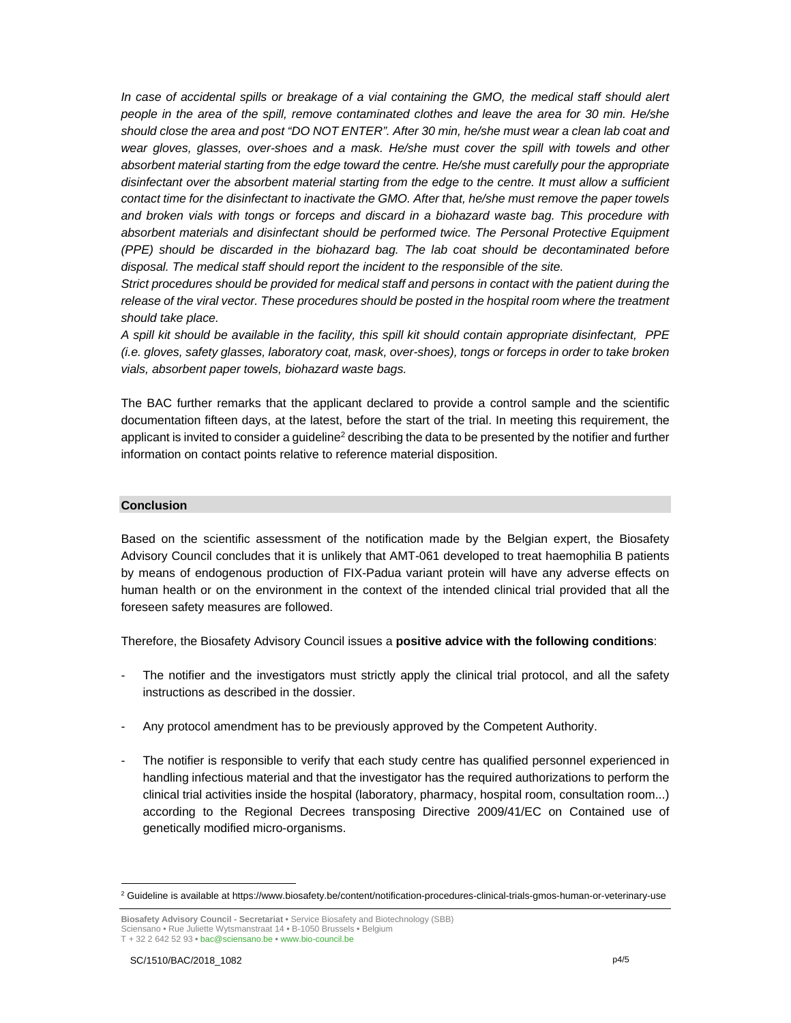*In case of accidental spills or breakage of a vial containing the GMO, the medical staff should alert people in the area of the spill, remove contaminated clothes and leave the area for 30 min. He/she should close the area and post "DO NOT ENTER". After 30 min, he/she must wear a clean lab coat and wear gloves, glasses, over-shoes and a mask. He/she must cover the spill with towels and other absorbent material starting from the edge toward the centre. He/she must carefully pour the appropriate disinfectant over the absorbent material starting from the edge to the centre. It must allow a sufficient contact time for the disinfectant to inactivate the GMO. After that, he/she must remove the paper towels and broken vials with tongs or forceps and discard in a biohazard waste bag. This procedure with absorbent materials and disinfectant should be performed twice. The Personal Protective Equipment (PPE) should be discarded in the biohazard bag. The lab coat should be decontaminated before disposal. The medical staff should report the incident to the responsible of the site.* 

*Strict procedures should be provided for medical staff and persons in contact with the patient during the release of the viral vector. These procedures should be posted in the hospital room where the treatment should take place.* 

*A spill kit should be available in the facility, this spill kit should contain appropriate disinfectant, PPE (i.e. gloves, safety glasses, laboratory coat, mask, over-shoes), tongs or forceps in order to take broken vials, absorbent paper towels, biohazard waste bags.* 

The BAC further remarks that the applicant declared to provide a control sample and the scientific documentation fifteen days, at the latest, before the start of the trial. In meeting this requirement, the applicant is invited to consider a guideline<sup>2</sup> describing the data to be presented by the notifier and further information on contact points relative to reference material disposition.

#### **Conclusion**

Based on the scientific assessment of the notification made by the Belgian expert, the Biosafety Advisory Council concludes that it is unlikely that AMT-061 developed to treat haemophilia B patients by means of endogenous production of FIX-Padua variant protein will have any adverse effects on human health or on the environment in the context of the intended clinical trial provided that all the foreseen safety measures are followed.

Therefore, the Biosafety Advisory Council issues a **positive advice with the following conditions**:

- The notifier and the investigators must strictly apply the clinical trial protocol, and all the safety instructions as described in the dossier.
- Any protocol amendment has to be previously approved by the Competent Authority.
- The notifier is responsible to verify that each study centre has qualified personnel experienced in handling infectious material and that the investigator has the required authorizations to perform the clinical trial activities inside the hospital (laboratory, pharmacy, hospital room, consultation room...) according to the Regional Decrees transposing Directive 2009/41/EC on Contained use of genetically modified micro-organisms.

 2 Guideline is available at https://www.biosafety.be/content/notification-procedures-clinical-trials-gmos-human-or-veterinary-use

**Biosafety Advisory Council - Secretariat •** Service Biosafety and Biotechnology (SBB) Sciensano **•** Rue Juliette Wytsmanstraat 14 **•** B-1050 Brussels **•** Belgium T + 32 2 642 52 93 **•** bac@sciensano.be **•** www.bio-council.be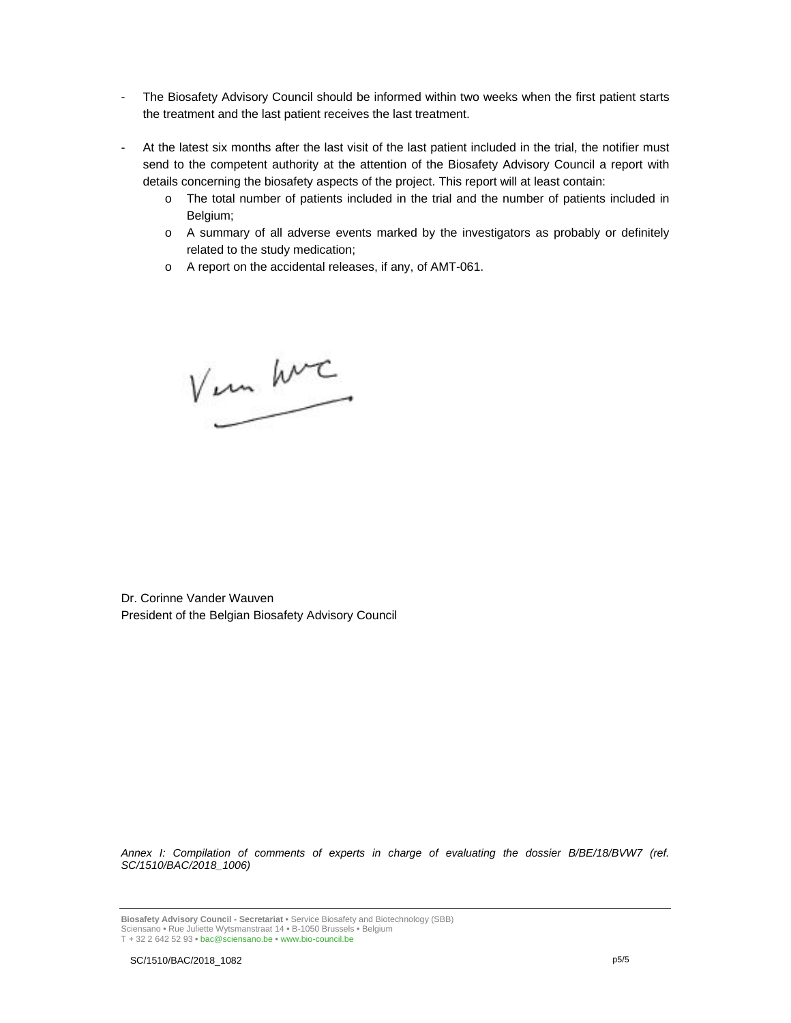- The Biosafety Advisory Council should be informed within two weeks when the first patient starts the treatment and the last patient receives the last treatment.
- At the latest six months after the last visit of the last patient included in the trial, the notifier must send to the competent authority at the attention of the Biosafety Advisory Council a report with details concerning the biosafety aspects of the project. This report will at least contain:
	- o The total number of patients included in the trial and the number of patients included in Belgium;
	- o A summary of all adverse events marked by the investigators as probably or definitely related to the study medication;
	- o A report on the accidental releases, if any, of AMT-061.

V un hvc

Dr. Corinne Vander Wauven President of the Belgian Biosafety Advisory Council

*Annex I: Compilation of comments of experts in charge of evaluating the dossier B/BE/18/BVW7 (ref. SC/1510/BAC/2018\_1006)*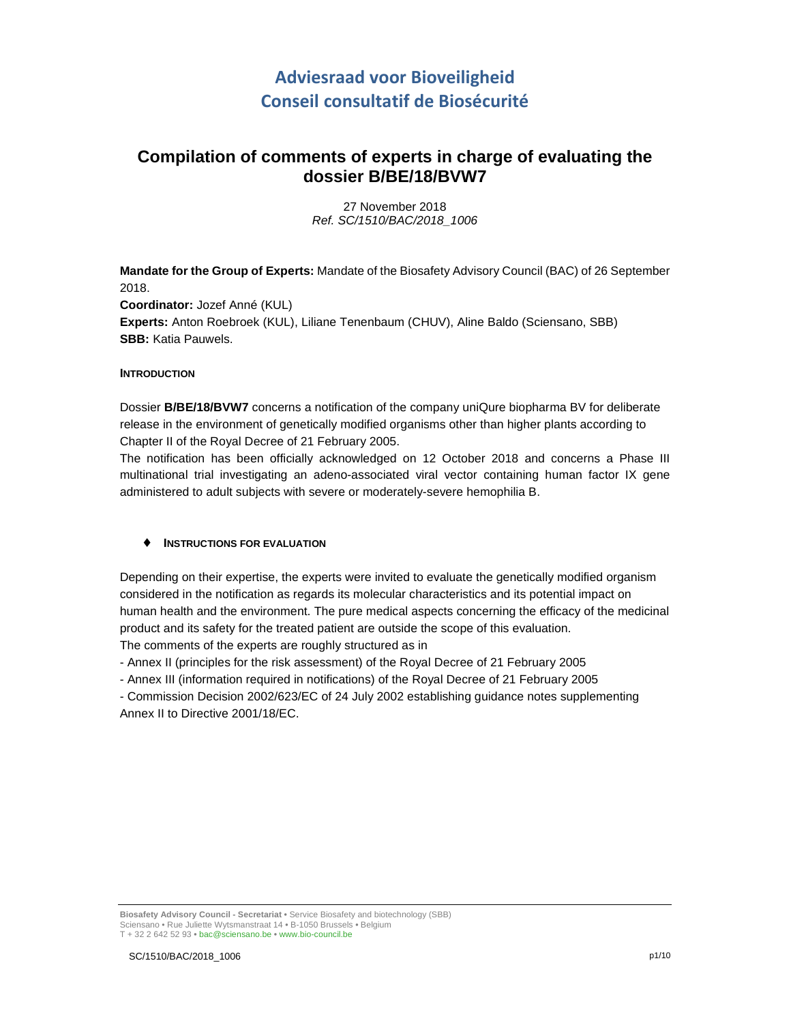# **Adviesraad voor Bioveiligheid Conseil consultatif de Biosécurité**

# **Compilation of comments of experts in charge of evaluating the dossier B/BE/18/BVW7**

27 November 2018 Ref. SC/1510/BAC/2018\_1006

**Mandate for the Group of Experts:** Mandate of the Biosafety Advisory Council (BAC) of 26 September 2018. **Coordinator:** Jozef Anné (KUL) **Experts:** Anton Roebroek (KUL), Liliane Tenenbaum (CHUV), Aline Baldo (Sciensano, SBB) **SBB:** Katia Pauwels.

# **INTRODUCTION**

Dossier **B/BE/18/BVW7** concerns a notification of the company uniQure biopharma BV for deliberate release in the environment of genetically modified organisms other than higher plants according to Chapter II of the Royal Decree of 21 February 2005.

The notification has been officially acknowledged on 12 October 2018 and concerns a Phase III multinational trial investigating an adeno-associated viral vector containing human factor IX gene administered to adult subjects with severe or moderately-severe hemophilia B.

# ♦ **INSTRUCTIONS FOR EVALUATION**

Depending on their expertise, the experts were invited to evaluate the genetically modified organism considered in the notification as regards its molecular characteristics and its potential impact on human health and the environment. The pure medical aspects concerning the efficacy of the medicinal product and its safety for the treated patient are outside the scope of this evaluation. The comments of the experts are roughly structured as in

- Annex II (principles for the risk assessment) of the Royal Decree of 21 February 2005

- Annex III (information required in notifications) of the Royal Decree of 21 February 2005

- Commission Decision 2002/623/EC of 24 July 2002 establishing guidance notes supplementing Annex II to Directive 2001/18/EC.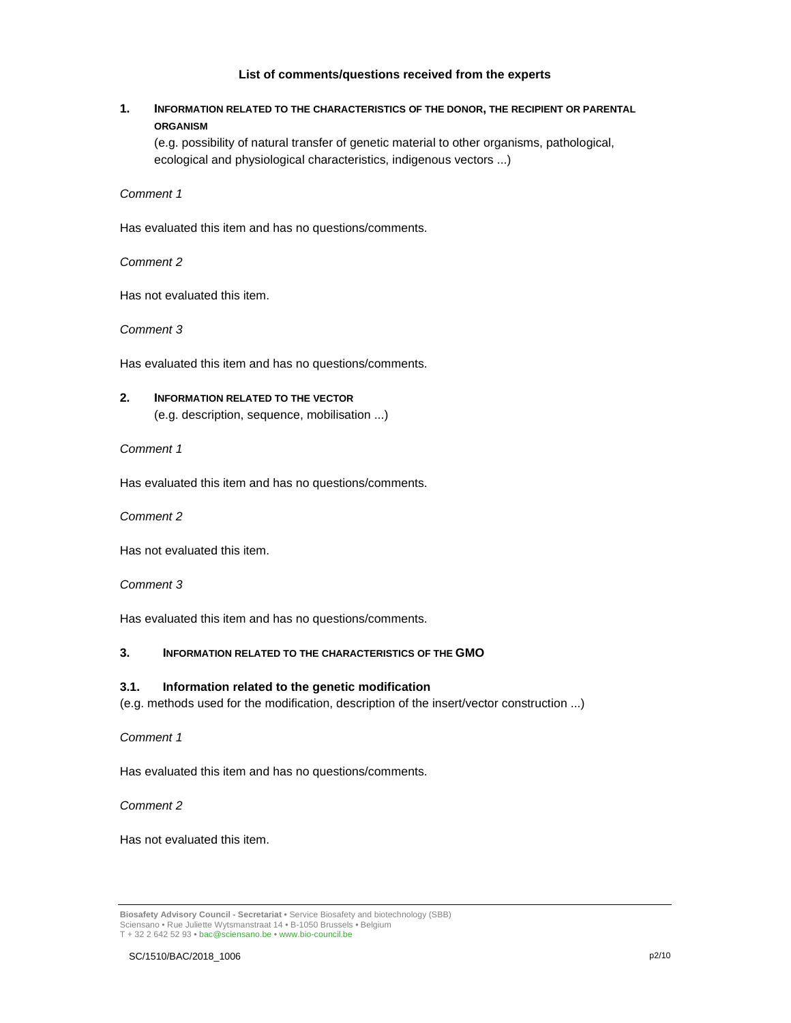## **List of comments/questions received from the experts**

# **1. INFORMATION RELATED TO THE CHARACTERISTICS OF THE DONOR, THE RECIPIENT OR PARENTAL ORGANISM**

(e.g. possibility of natural transfer of genetic material to other organisms, pathological, ecological and physiological characteristics, indigenous vectors ...)

Comment 1

Has evaluated this item and has no questions/comments.

Comment 2

Has not evaluated this item.

Comment 3

Has evaluated this item and has no questions/comments.

# **2. INFORMATION RELATED TO THE VECTOR** (e.g. description, sequence, mobilisation ...)

Comment 1

Has evaluated this item and has no questions/comments.

Comment 2

Has not evaluated this item.

Comment 3

Has evaluated this item and has no questions/comments.

## **3. INFORMATION RELATED TO THE CHARACTERISTICS OF THE GMO**

## **3.1. Information related to the genetic modification**

(e.g. methods used for the modification, description of the insert/vector construction ...)

Comment 1

Has evaluated this item and has no questions/comments.

Comment 2

Has not evaluated this item.

**Biosafety Advisory Council - Secretariat •** Service Biosafety and biotechnology (SBB) Sciensano • Rue Juliette Wytsmanstraat 14 **•** B-1050 Brussels **•** Belgium T + 32 2 642 52 93 **•** bac@sciensano.be **•** www.bio-council.be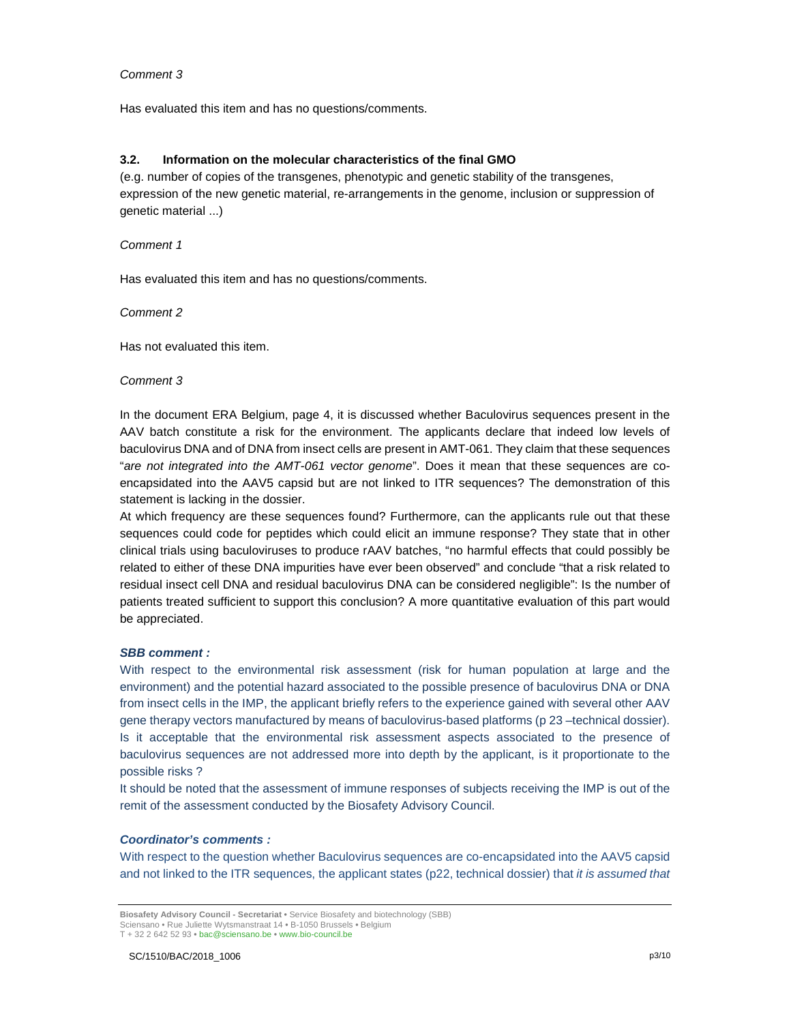## Comment 3

Has evaluated this item and has no questions/comments.

## **3.2. Information on the molecular characteristics of the final GMO**

(e.g. number of copies of the transgenes, phenotypic and genetic stability of the transgenes, expression of the new genetic material, re-arrangements in the genome, inclusion or suppression of genetic material ...)

## Comment 1

Has evaluated this item and has no questions/comments.

## Comment 2

Has not evaluated this item.

## Comment 3

In the document ERA Belgium, page 4, it is discussed whether Baculovirus sequences present in the AAV batch constitute a risk for the environment. The applicants declare that indeed low levels of baculovirus DNA and of DNA from insect cells are present in AMT-061. They claim that these sequences "are not integrated into the AMT-061 vector genome". Does it mean that these sequences are coencapsidated into the AAV5 capsid but are not linked to ITR sequences? The demonstration of this statement is lacking in the dossier.

At which frequency are these sequences found? Furthermore, can the applicants rule out that these sequences could code for peptides which could elicit an immune response? They state that in other clinical trials using baculoviruses to produce rAAV batches, "no harmful effects that could possibly be related to either of these DNA impurities have ever been observed" and conclude "that a risk related to residual insect cell DNA and residual baculovirus DNA can be considered negligible": Is the number of patients treated sufficient to support this conclusion? A more quantitative evaluation of this part would be appreciated.

## **SBB comment :**

With respect to the environmental risk assessment (risk for human population at large and the environment) and the potential hazard associated to the possible presence of baculovirus DNA or DNA from insect cells in the IMP, the applicant briefly refers to the experience gained with several other AAV gene therapy vectors manufactured by means of baculovirus-based platforms (p 23 –technical dossier). Is it acceptable that the environmental risk assessment aspects associated to the presence of baculovirus sequences are not addressed more into depth by the applicant, is it proportionate to the possible risks ?

It should be noted that the assessment of immune responses of subjects receiving the IMP is out of the remit of the assessment conducted by the Biosafety Advisory Council.

## **Coordinator's comments :**

With respect to the question whether Baculovirus sequences are co-encapsidated into the AAV5 capsid and not linked to the ITR sequences, the applicant states (p22, technical dossier) that it is assumed that

**Biosafety Advisory Council - Secretariat •** Service Biosafety and biotechnology (SBB) Sciensano • Rue Juliette Wytsmanstraat 14 **•** B-1050 Brussels **•** Belgium T + 32 2 642 52 93 **•** bac@sciensano.be **•** www.bio-council.be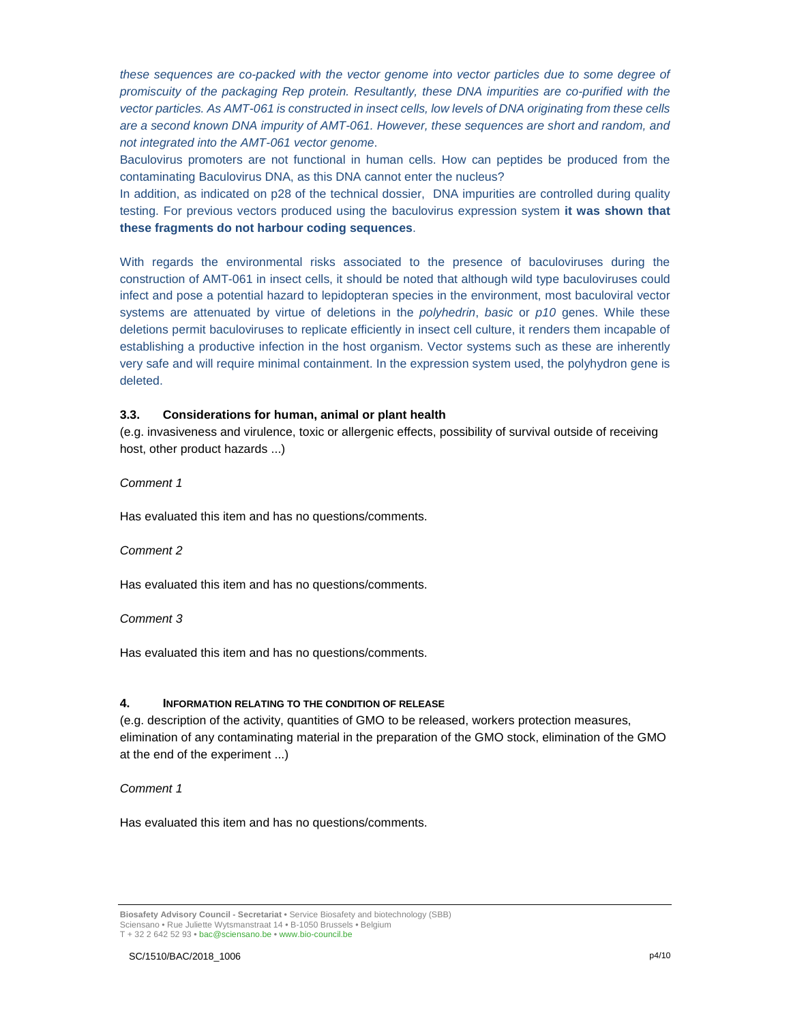these sequences are co-packed with the vector genome into vector particles due to some degree of promiscuity of the packaging Rep protein. Resultantly, these DNA impurities are co-purified with the vector particles. As AMT-061 is constructed in insect cells, low levels of DNA originating from these cells are a second known DNA impurity of AMT-061. However, these sequences are short and random, and not integrated into the AMT-061 vector genome.

Baculovirus promoters are not functional in human cells. How can peptides be produced from the contaminating Baculovirus DNA, as this DNA cannot enter the nucleus?

In addition, as indicated on p28 of the technical dossier, DNA impurities are controlled during quality testing. For previous vectors produced using the baculovirus expression system **it was shown that these fragments do not harbour coding sequences**.

With regards the environmental risks associated to the presence of baculoviruses during the construction of AMT-061 in insect cells, it should be noted that although wild type baculoviruses could infect and pose a potential hazard to lepidopteran species in the environment, most baculoviral vector systems are attenuated by virtue of deletions in the *polyhedrin*, basic or  $p10$  genes. While these deletions permit baculoviruses to replicate efficiently in insect cell culture, it renders them incapable of establishing a productive infection in the host organism. Vector systems such as these are inherently very safe and will require minimal containment. In the expression system used, the polyhydron gene is deleted.

## **3.3. Considerations for human, animal or plant health**

(e.g. invasiveness and virulence, toxic or allergenic effects, possibility of survival outside of receiving host, other product hazards ...)

Comment 1

Has evaluated this item and has no questions/comments.

## Comment 2

Has evaluated this item and has no questions/comments.

## Comment 3

Has evaluated this item and has no questions/comments.

## **4. INFORMATION RELATING TO THE CONDITION OF RELEASE**

(e.g. description of the activity, quantities of GMO to be released, workers protection measures, elimination of any contaminating material in the preparation of the GMO stock, elimination of the GMO at the end of the experiment ...)

## Comment 1

Has evaluated this item and has no questions/comments.

**Biosafety Advisory Council - Secretariat •** Service Biosafety and biotechnology (SBB) Sciensano • Rue Juliette Wytsmanstraat 14 **•** B-1050 Brussels **•** Belgium T + 32 2 642 52 93 **•** bac@sciensano.be **•** www.bio-council.be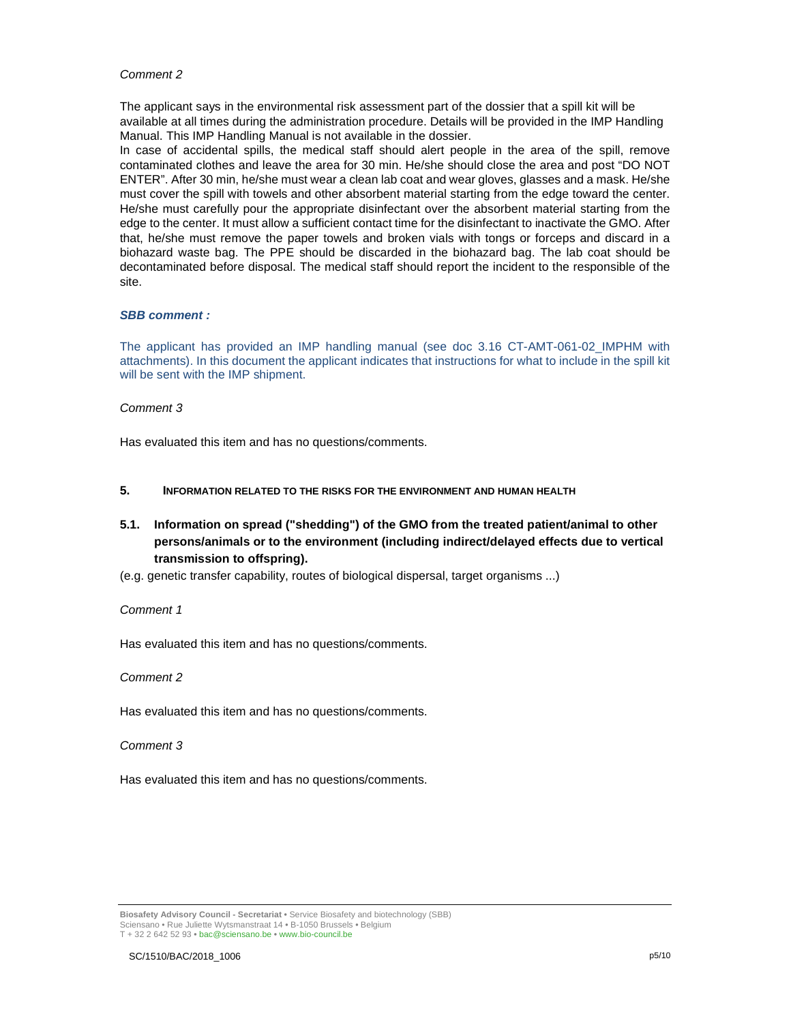## Comment 2

The applicant says in the environmental risk assessment part of the dossier that a spill kit will be available at all times during the administration procedure. Details will be provided in the IMP Handling Manual. This IMP Handling Manual is not available in the dossier.

In case of accidental spills, the medical staff should alert people in the area of the spill, remove contaminated clothes and leave the area for 30 min. He/she should close the area and post "DO NOT ENTER". After 30 min, he/she must wear a clean lab coat and wear gloves, glasses and a mask. He/she must cover the spill with towels and other absorbent material starting from the edge toward the center. He/she must carefully pour the appropriate disinfectant over the absorbent material starting from the edge to the center. It must allow a sufficient contact time for the disinfectant to inactivate the GMO. After that, he/she must remove the paper towels and broken vials with tongs or forceps and discard in a biohazard waste bag. The PPE should be discarded in the biohazard bag. The lab coat should be decontaminated before disposal. The medical staff should report the incident to the responsible of the site.

#### **SBB comment :**

The applicant has provided an IMP handling manual (see doc 3.16 CT-AMT-061-02\_IMPHM with attachments). In this document the applicant indicates that instructions for what to include in the spill kit will be sent with the IMP shipment.

## Comment 3

Has evaluated this item and has no questions/comments.

- **5. INFORMATION RELATED TO THE RISKS FOR THE ENVIRONMENT AND HUMAN HEALTH**
- **5.1. Information on spread ("shedding") of the GMO from the treated patient/animal to other persons/animals or to the environment (including indirect/delayed effects due to vertical transmission to offspring).**
- (e.g. genetic transfer capability, routes of biological dispersal, target organisms ...)

#### Comment 1

Has evaluated this item and has no questions/comments.

#### Comment 2

Has evaluated this item and has no questions/comments.

#### Comment 3

Has evaluated this item and has no questions/comments.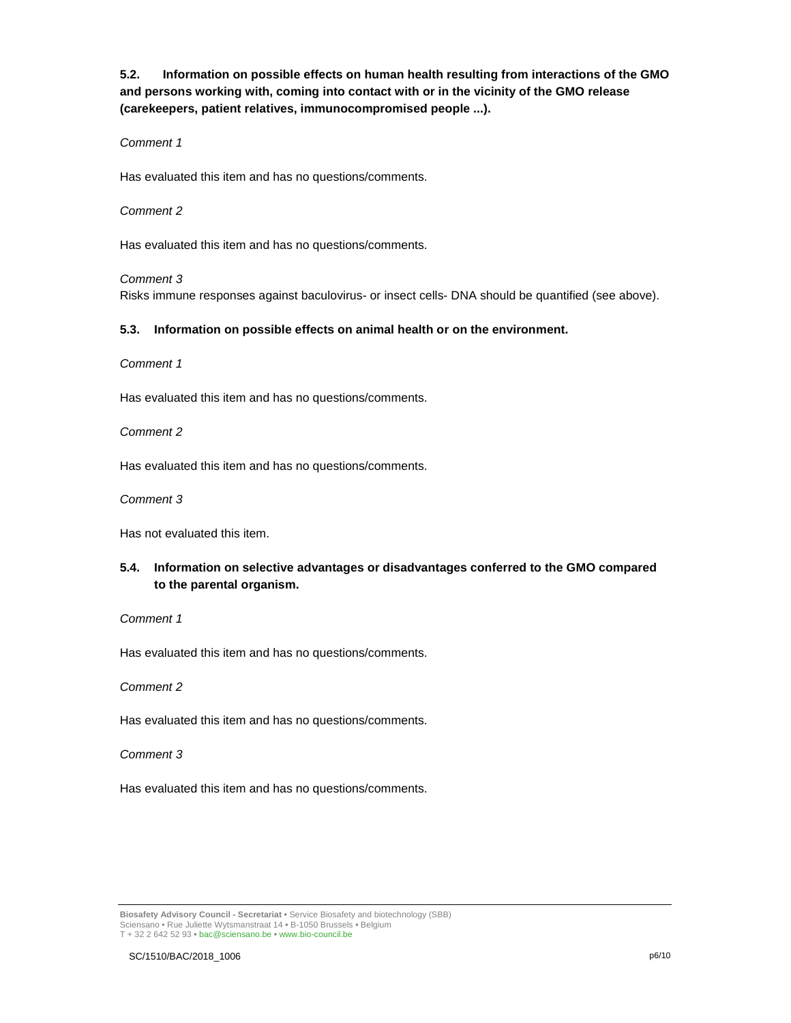**5.2. Information on possible effects on human health resulting from interactions of the GMO and persons working with, coming into contact with or in the vicinity of the GMO release (carekeepers, patient relatives, immunocompromised people ...).** 

## Comment 1

Has evaluated this item and has no questions/comments.

#### Comment 2

Has evaluated this item and has no questions/comments.

#### Comment 3

Risks immune responses against baculovirus- or insect cells- DNA should be quantified (see above).

#### **5.3. Information on possible effects on animal health or on the environment.**

Comment 1

Has evaluated this item and has no questions/comments.

Comment 2

Has evaluated this item and has no questions/comments.

Comment 3

Has not evaluated this item.

# **5.4. Information on selective advantages or disadvantages conferred to the GMO compared to the parental organism.**

## Comment 1

Has evaluated this item and has no questions/comments.

Comment 2

Has evaluated this item and has no questions/comments.

Comment 3

Has evaluated this item and has no questions/comments.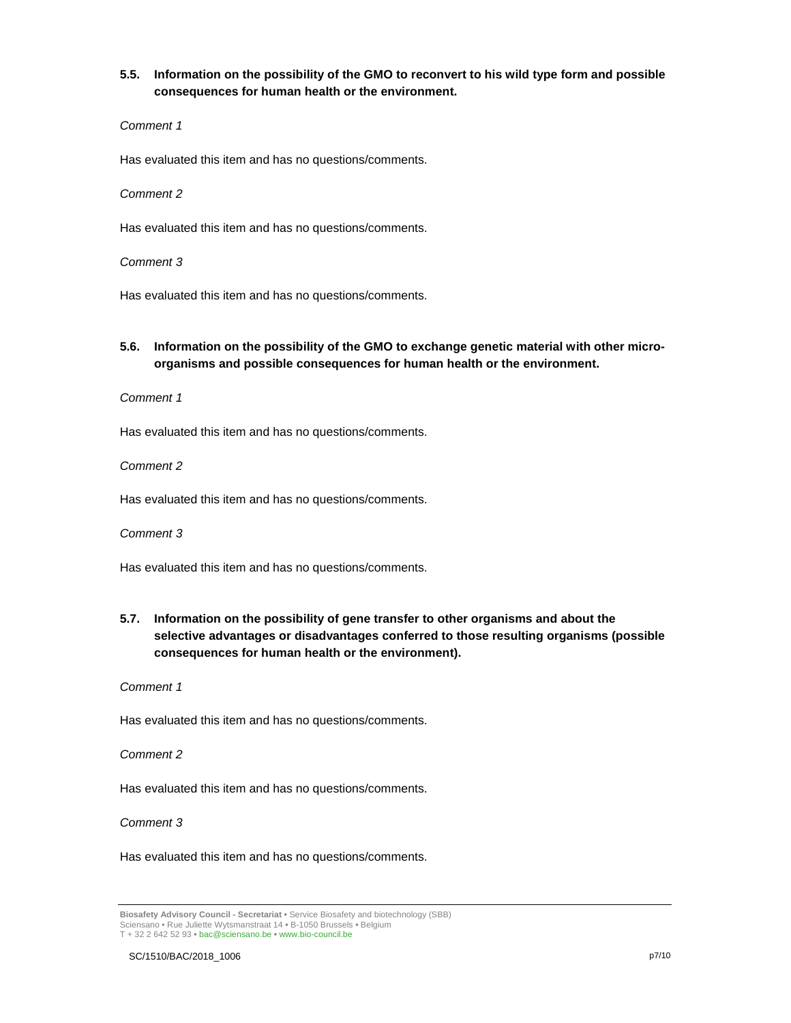# **5.5. Information on the possibility of the GMO to reconvert to his wild type form and possible consequences for human health or the environment.**

## Comment 1

Has evaluated this item and has no questions/comments.

## Comment 2

Has evaluated this item and has no questions/comments.

## Comment 3

Has evaluated this item and has no questions/comments.

# **5.6. Information on the possibility of the GMO to exchange genetic material with other microorganisms and possible consequences for human health or the environment.**

Comment 1

Has evaluated this item and has no questions/comments.

Comment 2

Has evaluated this item and has no questions/comments.

Comment 3

Has evaluated this item and has no questions/comments.

**5.7. Information on the possibility of gene transfer to other organisms and about the selective advantages or disadvantages conferred to those resulting organisms (possible consequences for human health or the environment).** 

### Comment 1

Has evaluated this item and has no questions/comments.

Comment 2

Has evaluated this item and has no questions/comments.

## Comment 3

Has evaluated this item and has no questions/comments.

**Biosafety Advisory Council - Secretariat •** Service Biosafety and biotechnology (SBB) Sciensano • Rue Juliette Wytsmanstraat 14 **•** B-1050 Brussels **•** Belgium T + 32 2 642 52 93 **•** bac@sciensano.be **•** www.bio-council.be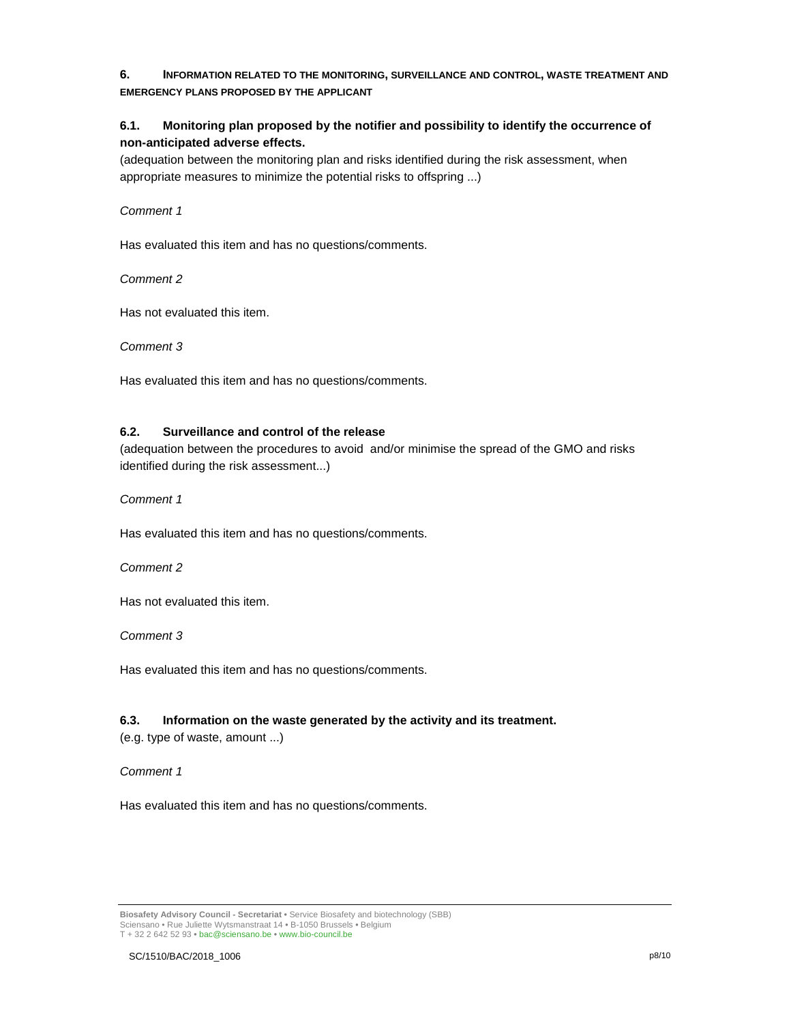# **6. INFORMATION RELATED TO THE MONITORING, SURVEILLANCE AND CONTROL, WASTE TREATMENT AND EMERGENCY PLANS PROPOSED BY THE APPLICANT**

# **6.1. Monitoring plan proposed by the notifier and possibility to identify the occurrence of non-anticipated adverse effects.**

(adequation between the monitoring plan and risks identified during the risk assessment, when appropriate measures to minimize the potential risks to offspring ...)

## Comment 1

Has evaluated this item and has no questions/comments.

Comment 2

Has not evaluated this item.

Comment 3

Has evaluated this item and has no questions/comments.

## **6.2. Surveillance and control of the release**

(adequation between the procedures to avoid and/or minimise the spread of the GMO and risks identified during the risk assessment...)

Comment 1

Has evaluated this item and has no questions/comments.

## Comment 2

Has not evaluated this item.

Comment 3

Has evaluated this item and has no questions/comments.

# **6.3. Information on the waste generated by the activity and its treatment.**

(e.g. type of waste, amount ...)

Comment 1

Has evaluated this item and has no questions/comments.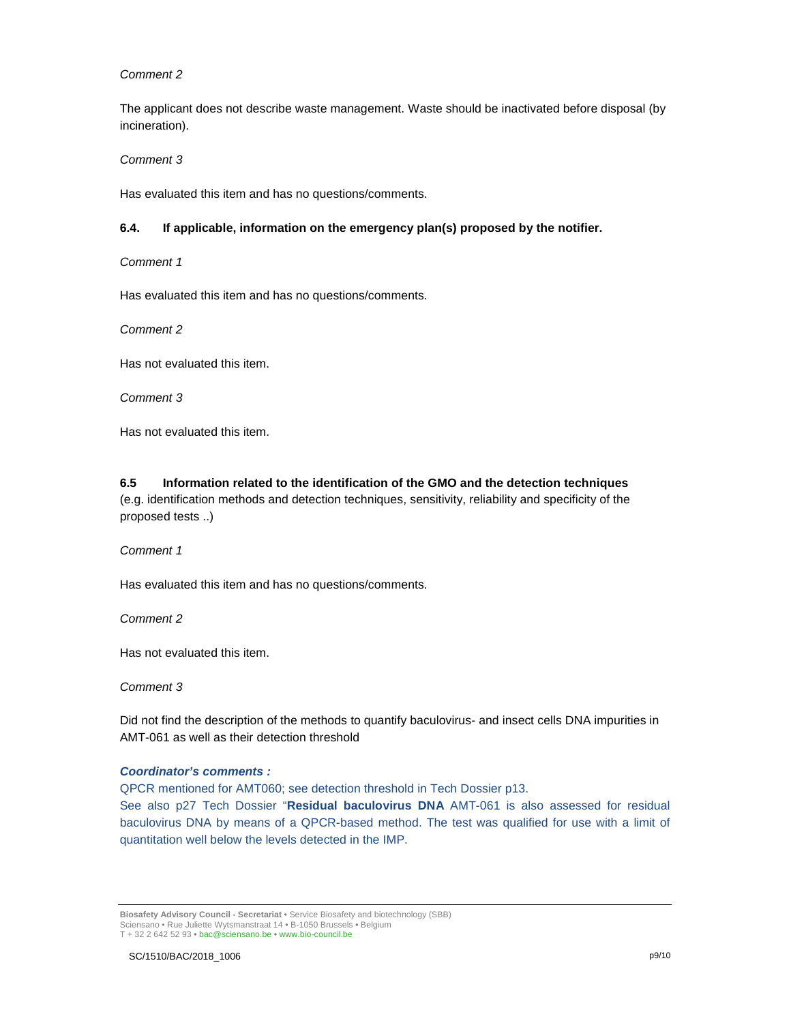## Comment 2

The applicant does not describe waste management. Waste should be inactivated before disposal (by incineration).

Comment 3

Has evaluated this item and has no questions/comments.

### **6.4. If applicable, information on the emergency plan(s) proposed by the notifier.**

Comment 1

Has evaluated this item and has no questions/comments.

Comment 2

Has not evaluated this item.

Comment 3

Has not evaluated this item.

# **6.5 Information related to the identification of the GMO and the detection techniques**

(e.g. identification methods and detection techniques, sensitivity, reliability and specificity of the proposed tests ..)

Comment 1

Has evaluated this item and has no questions/comments.

Comment 2

Has not evaluated this item.

Comment 3

Did not find the description of the methods to quantify baculovirus- and insect cells DNA impurities in AMT-061 as well as their detection threshold

## **Coordinator's comments :**

QPCR mentioned for AMT060; see detection threshold in Tech Dossier p13. See also p27 Tech Dossier "**Residual baculovirus DNA** AMT-061 is also assessed for residual baculovirus DNA by means of a QPCR-based method. The test was qualified for use with a limit of quantitation well below the levels detected in the IMP.